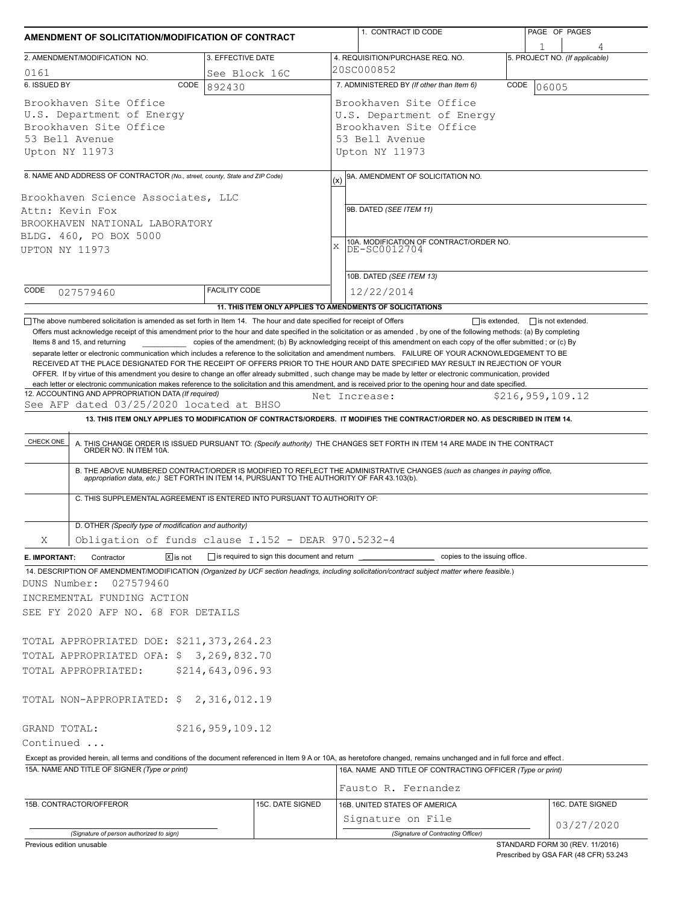| AMENDMENT OF SOLICITATION/MODIFICATION OF CONTRACT |                                                                                                                       |                      |                  | 1. CONTRACT ID CODE                                                                                                                                                                                                                                                                        | PAGE OF PAGES |                                             |  |  |  |
|----------------------------------------------------|-----------------------------------------------------------------------------------------------------------------------|----------------------|------------------|--------------------------------------------------------------------------------------------------------------------------------------------------------------------------------------------------------------------------------------------------------------------------------------------|---------------|---------------------------------------------|--|--|--|
|                                                    | 2. AMENDMENT/MODIFICATION NO.                                                                                         | 3. EFFECTIVE DATE    |                  | 4. REQUISITION/PURCHASE REQ. NO.                                                                                                                                                                                                                                                           |               | 5. PROJECT NO. (If applicable)              |  |  |  |
| 0161                                               |                                                                                                                       | See Block 16C        |                  | 20SC000852                                                                                                                                                                                                                                                                                 |               |                                             |  |  |  |
| 6. ISSUED BY                                       | CODE                                                                                                                  | 892430               |                  | 7. ADMINISTERED BY (If other than Item 6)<br>CODE<br>06005                                                                                                                                                                                                                                 |               |                                             |  |  |  |
|                                                    | Brookhaven Site Office                                                                                                |                      |                  | Brookhaven Site Office                                                                                                                                                                                                                                                                     |               |                                             |  |  |  |
|                                                    | U.S. Department of Energy                                                                                             |                      |                  | U.S. Department of Energy                                                                                                                                                                                                                                                                  |               |                                             |  |  |  |
|                                                    | Brookhaven Site Office                                                                                                |                      |                  | Brookhaven Site Office                                                                                                                                                                                                                                                                     |               |                                             |  |  |  |
| 53 Bell Avenue                                     |                                                                                                                       |                      |                  | 53 Bell Avenue                                                                                                                                                                                                                                                                             |               |                                             |  |  |  |
| Upton NY 11973                                     |                                                                                                                       |                      |                  | Upton NY 11973                                                                                                                                                                                                                                                                             |               |                                             |  |  |  |
|                                                    | 8. NAME AND ADDRESS OF CONTRACTOR (No., street, county, State and ZIP Code)                                           |                      | (x)              | 9A. AMENDMENT OF SOLICITATION NO.                                                                                                                                                                                                                                                          |               |                                             |  |  |  |
|                                                    | Brookhaven Science Associates, LLC                                                                                    |                      |                  |                                                                                                                                                                                                                                                                                            |               |                                             |  |  |  |
|                                                    | Attn: Kevin Fox                                                                                                       |                      |                  | 9B. DATED (SEE ITEM 11)                                                                                                                                                                                                                                                                    |               |                                             |  |  |  |
|                                                    | BROOKHAVEN NATIONAL LABORATORY                                                                                        |                      |                  |                                                                                                                                                                                                                                                                                            |               |                                             |  |  |  |
|                                                    | BLDG. 460, PO BOX 5000                                                                                                |                      | $\bar{x}$        | 10A. MODIFICATION OF CONTRACT/ORDER NO.<br>DE-SC0012704                                                                                                                                                                                                                                    |               |                                             |  |  |  |
| <b>UPTON NY 11973</b>                              |                                                                                                                       |                      |                  |                                                                                                                                                                                                                                                                                            |               |                                             |  |  |  |
|                                                    |                                                                                                                       |                      |                  | 10B. DATED (SEE ITEM 13)                                                                                                                                                                                                                                                                   |               |                                             |  |  |  |
| CODE                                               | 027579460                                                                                                             | <b>FACILITY CODE</b> |                  | 12/22/2014                                                                                                                                                                                                                                                                                 |               |                                             |  |  |  |
|                                                    |                                                                                                                       |                      |                  | 11. THIS ITEM ONLY APPLIES TO AMENDMENTS OF SOLICITATIONS                                                                                                                                                                                                                                  |               |                                             |  |  |  |
|                                                    | The above numbered solicitation is amended as set forth in Item 14. The hour and date specified for receipt of Offers |                      |                  |                                                                                                                                                                                                                                                                                            |               | $\Box$ is extended, $\Box$ is not extended. |  |  |  |
|                                                    |                                                                                                                       |                      |                  | Offers must acknowledge receipt of this amendment prior to the hour and date specified in the solicitation or as amended, by one of the following methods: (a) By completing                                                                                                               |               |                                             |  |  |  |
|                                                    | Items 8 and 15, and returning                                                                                         |                      |                  | copies of the amendment; (b) By acknowledging receipt of this amendment on each copy of the offer submitted; or (c) By                                                                                                                                                                     |               |                                             |  |  |  |
|                                                    |                                                                                                                       |                      |                  | separate letter or electronic communication which includes a reference to the solicitation and amendment numbers. FAILURE OF YOUR ACKNOWLEDGEMENT TO BE<br>RECEIVED AT THE PLACE DESIGNATED FOR THE RECEIPT OF OFFERS PRIOR TO THE HOUR AND DATE SPECIFIED MAY RESULT IN REJECTION OF YOUR |               |                                             |  |  |  |
|                                                    |                                                                                                                       |                      |                  | OFFER. If by virtue of this amendment you desire to change an offer already submitted, such change may be made by letter or electronic communication, provided                                                                                                                             |               |                                             |  |  |  |
|                                                    | 12. ACCOUNTING AND APPROPRIATION DATA (If required)                                                                   |                      |                  | each letter or electronic communication makes reference to the solicitation and this amendment, and is received prior to the opening hour and date specified.                                                                                                                              |               |                                             |  |  |  |
|                                                    | See AFP dated 03/25/2020 located at BHSO                                                                              |                      |                  | Net Increase:                                                                                                                                                                                                                                                                              |               | \$216,959,109.12                            |  |  |  |
|                                                    |                                                                                                                       |                      |                  |                                                                                                                                                                                                                                                                                            |               |                                             |  |  |  |
|                                                    |                                                                                                                       |                      |                  | 13. THIS ITEM ONLY APPLIES TO MODIFICATION OF CONTRACTS/ORDERS. IT MODIFIES THE CONTRACT/ORDER NO. AS DESCRIBED IN ITEM 14.                                                                                                                                                                |               |                                             |  |  |  |
|                                                    |                                                                                                                       |                      |                  |                                                                                                                                                                                                                                                                                            |               |                                             |  |  |  |
| CHECK ONE                                          |                                                                                                                       |                      |                  | A. THIS CHANGE ORDER IS ISSUED PURSUANT TO: (Specify authority) THE CHANGES SET FORTH IN ITEM 14 ARE MADE IN THE CONTRACT ORDER NO. IN ITEM 10A.                                                                                                                                           |               |                                             |  |  |  |
|                                                    |                                                                                                                       |                      |                  |                                                                                                                                                                                                                                                                                            |               |                                             |  |  |  |
|                                                    |                                                                                                                       |                      |                  | B. THE ABOVE NUMBERED CONTRACT/ORDER IS MODIFIED TO REFLECT THE ADMINISTRATIVE CHANGES (such as changes in paying office, appropriation data, etc.) SET FORTH IN ITEM 14, PURSUANT TO THE AUTHORITY OF FAR 43.103(b).                                                                      |               |                                             |  |  |  |
|                                                    | C. THIS SUPPLEMENTAL AGREEMENT IS ENTERED INTO PURSUANT TO AUTHORITY OF:                                              |                      |                  |                                                                                                                                                                                                                                                                                            |               |                                             |  |  |  |
|                                                    |                                                                                                                       |                      |                  |                                                                                                                                                                                                                                                                                            |               |                                             |  |  |  |
|                                                    | D. OTHER (Specify type of modification and authority)                                                                 |                      |                  |                                                                                                                                                                                                                                                                                            |               |                                             |  |  |  |
| Χ                                                  | Obligation of funds clause I.152 - DEAR 970.5232-4                                                                    |                      |                  |                                                                                                                                                                                                                                                                                            |               |                                             |  |  |  |
|                                                    | $\sqrt{X}$ is not<br>Contractor                                                                                       |                      |                  | is required to sign this document and return ___________________________ copies to the issuing office.                                                                                                                                                                                     |               |                                             |  |  |  |
| E. IMPORTANT:                                      |                                                                                                                       |                      |                  | 14. DESCRIPTION OF AMENDMENT/MODIFICATION (Organized by UCF section headings, including solicitation/contract subject matter where feasible.)                                                                                                                                              |               |                                             |  |  |  |
|                                                    | 027579460                                                                                                             |                      |                  |                                                                                                                                                                                                                                                                                            |               |                                             |  |  |  |
|                                                    | INCREMENTAL FUNDING ACTION                                                                                            |                      |                  |                                                                                                                                                                                                                                                                                            |               |                                             |  |  |  |
|                                                    | SEE FY 2020 AFP NO. 68 FOR DETAILS                                                                                    |                      |                  |                                                                                                                                                                                                                                                                                            |               |                                             |  |  |  |
|                                                    |                                                                                                                       |                      |                  |                                                                                                                                                                                                                                                                                            |               |                                             |  |  |  |
|                                                    | TOTAL APPROPRIATED DOE: \$211,373,264.23                                                                              |                      |                  |                                                                                                                                                                                                                                                                                            |               |                                             |  |  |  |
| DUNS Number:                                       | TOTAL APPROPRIATED OFA: \$3,269,832.70                                                                                |                      |                  |                                                                                                                                                                                                                                                                                            |               |                                             |  |  |  |
|                                                    | TOTAL APPROPRIATED:                                                                                                   | \$214,643,096.93     |                  |                                                                                                                                                                                                                                                                                            |               |                                             |  |  |  |
|                                                    |                                                                                                                       |                      |                  |                                                                                                                                                                                                                                                                                            |               |                                             |  |  |  |
|                                                    | TOTAL NON-APPROPRIATED: \$2,316,012.19                                                                                |                      |                  |                                                                                                                                                                                                                                                                                            |               |                                             |  |  |  |
|                                                    |                                                                                                                       |                      |                  |                                                                                                                                                                                                                                                                                            |               |                                             |  |  |  |
|                                                    |                                                                                                                       | \$216, 959, 109.12   |                  |                                                                                                                                                                                                                                                                                            |               |                                             |  |  |  |
|                                                    |                                                                                                                       |                      |                  |                                                                                                                                                                                                                                                                                            |               |                                             |  |  |  |
|                                                    |                                                                                                                       |                      |                  | Except as provided herein, all terms and conditions of the document referenced in Item 9 A or 10A, as heretofore changed, remains unchanged and in full force and effect.                                                                                                                  |               |                                             |  |  |  |
|                                                    | 15A. NAME AND TITLE OF SIGNER (Type or print)                                                                         |                      |                  | 16A. NAME AND TITLE OF CONTRACTING OFFICER (Type or print)                                                                                                                                                                                                                                 |               |                                             |  |  |  |
|                                                    |                                                                                                                       |                      |                  |                                                                                                                                                                                                                                                                                            |               |                                             |  |  |  |
|                                                    |                                                                                                                       |                      |                  | Fausto R. Fernandez                                                                                                                                                                                                                                                                        |               |                                             |  |  |  |
| GRAND TOTAL:<br>Continued                          | 15B. CONTRACTOR/OFFEROR                                                                                               |                      | 15C. DATE SIGNED | 16B. UNITED STATES OF AMERICA                                                                                                                                                                                                                                                              |               | 16C. DATE SIGNED                            |  |  |  |
|                                                    |                                                                                                                       |                      |                  | Signature on File<br>(Signature of Contracting Officer)                                                                                                                                                                                                                                    |               | 03/27/2020                                  |  |  |  |

Prescribed by GSA FAR (48 CFR) 53.243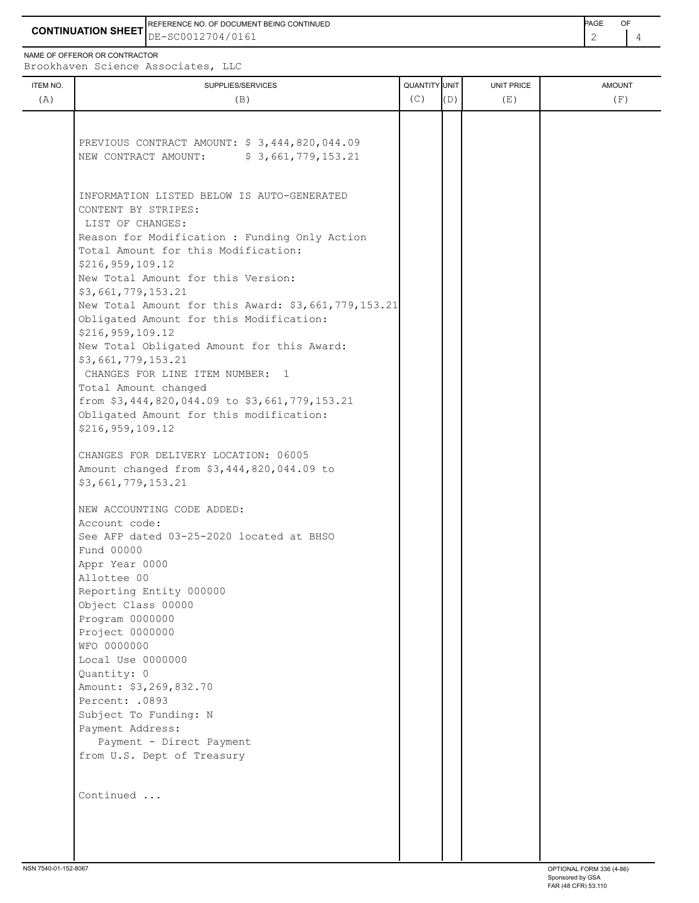**CONTINUATION SHEET** DE-SC0012704/0161 REFERENCE NO. OF DOCUMENT BEING CONTINUED **Example 2008** PAGE OF

NAME OF OFFEROR OR CONTRACTOR

Brookhaven Science Associates, LLC

| ITEM NO.<br>(A) | SUPPLIES/SERVICES<br>(B)                                                                 | QUANTITY UNIT<br>(C) | (D) | UNIT PRICE<br>(E) | <b>AMOUNT</b><br>(F) |
|-----------------|------------------------------------------------------------------------------------------|----------------------|-----|-------------------|----------------------|
|                 |                                                                                          |                      |     |                   |                      |
|                 |                                                                                          |                      |     |                   |                      |
|                 | PREVIOUS CONTRACT AMOUNT: \$3,444,820,044.09                                             |                      |     |                   |                      |
|                 | NEW CONTRACT AMOUNT: \$3,661,779,153.21                                                  |                      |     |                   |                      |
|                 |                                                                                          |                      |     |                   |                      |
|                 |                                                                                          |                      |     |                   |                      |
|                 | INFORMATION LISTED BELOW IS AUTO-GENERATED                                               |                      |     |                   |                      |
|                 | CONTENT BY STRIPES:                                                                      |                      |     |                   |                      |
|                 | LIST OF CHANGES:                                                                         |                      |     |                   |                      |
|                 | Reason for Modification : Funding Only Action<br>Total Amount for this Modification:     |                      |     |                   |                      |
|                 | \$216,959,109.12                                                                         |                      |     |                   |                      |
|                 | New Total Amount for this Version:                                                       |                      |     |                   |                      |
|                 | \$3,661,779,153.21                                                                       |                      |     |                   |                      |
|                 | New Total Amount for this Award: \$3,661,779,153.21                                      |                      |     |                   |                      |
|                 | Obligated Amount for this Modification:                                                  |                      |     |                   |                      |
|                 | \$216,959,109.12                                                                         |                      |     |                   |                      |
|                 | New Total Obligated Amount for this Award:                                               |                      |     |                   |                      |
|                 | \$3,661,779,153.21                                                                       |                      |     |                   |                      |
|                 | CHANGES FOR LINE ITEM NUMBER: 1                                                          |                      |     |                   |                      |
|                 | Total Amount changed                                                                     |                      |     |                   |                      |
|                 | from \$3,444,820,044.09 to \$3,661,779,153.21<br>Obligated Amount for this modification: |                      |     |                   |                      |
|                 | \$216,959,109.12                                                                         |                      |     |                   |                      |
|                 |                                                                                          |                      |     |                   |                      |
|                 | CHANGES FOR DELIVERY LOCATION: 06005                                                     |                      |     |                   |                      |
|                 | Amount changed from \$3,444,820,044.09 to                                                |                      |     |                   |                      |
|                 | \$3,661,779,153.21                                                                       |                      |     |                   |                      |
|                 | NEW ACCOUNTING CODE ADDED:                                                               |                      |     |                   |                      |
|                 | Account code:                                                                            |                      |     |                   |                      |
|                 | See AFP dated 03-25-2020 located at BHSO                                                 |                      |     |                   |                      |
|                 | Fund 00000                                                                               |                      |     |                   |                      |
|                 | Appr Year 0000                                                                           |                      |     |                   |                      |
|                 | Allottee 00                                                                              |                      |     |                   |                      |
|                 | Reporting Entity 000000                                                                  |                      |     |                   |                      |
|                 | Object Class 00000                                                                       |                      |     |                   |                      |
|                 | Program 0000000<br>Project 0000000                                                       |                      |     |                   |                      |
|                 | WFO 0000000                                                                              |                      |     |                   |                      |
|                 | Local Use 0000000                                                                        |                      |     |                   |                      |
|                 | Quantity: 0                                                                              |                      |     |                   |                      |
|                 | Amount: \$3,269,832.70                                                                   |                      |     |                   |                      |
|                 | Percent: .0893                                                                           |                      |     |                   |                      |
|                 | Subject To Funding: N                                                                    |                      |     |                   |                      |
|                 | Payment Address:                                                                         |                      |     |                   |                      |
|                 | Payment - Direct Payment                                                                 |                      |     |                   |                      |
|                 | from U.S. Dept of Treasury                                                               |                      |     |                   |                      |
|                 |                                                                                          |                      |     |                   |                      |
|                 | Continued                                                                                |                      |     |                   |                      |
|                 |                                                                                          |                      |     |                   |                      |
|                 |                                                                                          |                      |     |                   |                      |
|                 |                                                                                          |                      |     |                   |                      |
|                 |                                                                                          |                      |     |                   |                      |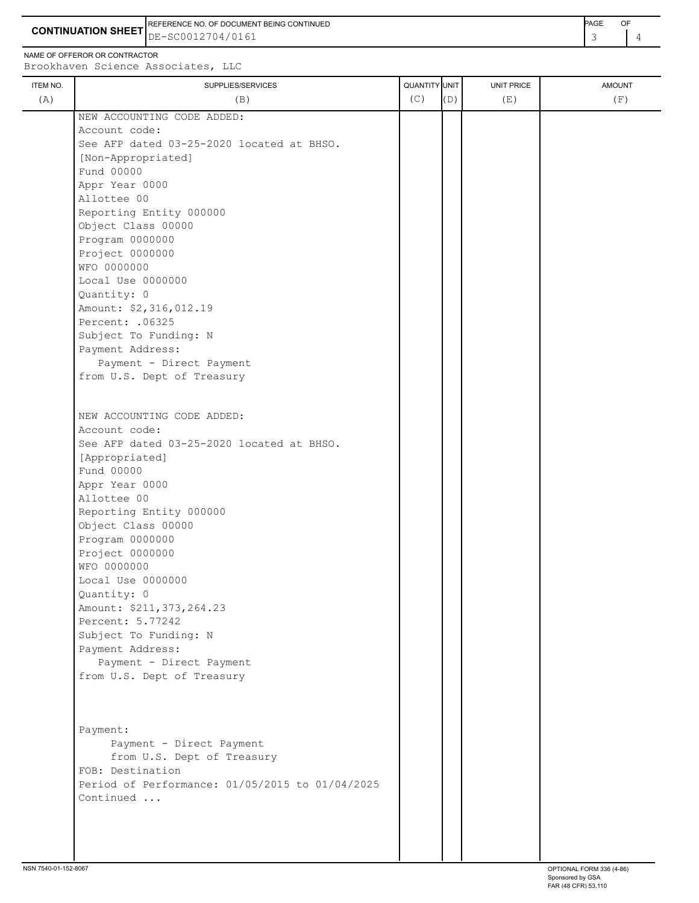**CONTINUATION SHEET** DE-SC0012704/0161 REFERENCE NO. OF DOCUMENT BEING CONTINUED **Example 2008** PAGE OF

NAME OF OFFEROR OR CONTRACTOR

Brookhaven Science Associates, LLC ITEM NO.  $\begin{bmatrix} 1 & 1 & 1 \\ 0 & 0 & 1 \end{bmatrix}$   $\begin{bmatrix} 0 & 1 & 1 \\ 0 & 1 & 1 \end{bmatrix}$   $\begin{bmatrix} 0 & 0 & 0 \\ 0 & 1 & 1 \end{bmatrix}$   $\begin{bmatrix} 0 & 0 & 0 \\ 0 & 1 & 1 \end{bmatrix}$   $\begin{bmatrix} 0 & 0 & 0 \\ 0 & 1 & 1 \end{bmatrix}$   $\begin{bmatrix} 0 & 0 & 0 \\ 0 & 1 & 1 \end{bmatrix}$   $\begin{bmatrix} 0 & 0 & 0 \\ 0 & 1$ (A)  $(B)$  (B)  $(C)$   $(D)$  (E)  $(E)$  (F) ÷. NEW ACCOUNTING CODE ADDED: Account code: See AFP dated 03-25-2020 located at BHSO. [Non-Appropriated] **Fund 00000**  Appr Year 0000 Allottee 00 Reporting Entity 000000

| NEW ACCOUNTING CODE ADDED:                      |  |  |  |
|-------------------------------------------------|--|--|--|
| Account code:                                   |  |  |  |
| See AFP dated 03-25-2020 located at BHSO.       |  |  |  |
| [Non-Appropriated]                              |  |  |  |
| Fund 00000                                      |  |  |  |
| Appr Year 0000                                  |  |  |  |
| Allottee 00                                     |  |  |  |
| Reporting Entity 000000                         |  |  |  |
| Object Class 00000                              |  |  |  |
| Program 0000000                                 |  |  |  |
| Project 0000000                                 |  |  |  |
| WFO 0000000                                     |  |  |  |
| Local Use 0000000                               |  |  |  |
| Quantity: 0                                     |  |  |  |
| Amount: \$2,316,012.19                          |  |  |  |
| Percent: . 06325                                |  |  |  |
| Subject To Funding: N                           |  |  |  |
| Payment Address:                                |  |  |  |
| Payment - Direct Payment                        |  |  |  |
| from U.S. Dept of Treasury                      |  |  |  |
|                                                 |  |  |  |
|                                                 |  |  |  |
| NEW ACCOUNTING CODE ADDED:                      |  |  |  |
| Account code:                                   |  |  |  |
| See AFP dated 03-25-2020 located at BHSO.       |  |  |  |
| [Appropriated]                                  |  |  |  |
| Fund 00000                                      |  |  |  |
| Appr Year 0000                                  |  |  |  |
| Allottee 00                                     |  |  |  |
| Reporting Entity 000000                         |  |  |  |
| Object Class 00000                              |  |  |  |
| Program 0000000                                 |  |  |  |
| Project 0000000                                 |  |  |  |
| WFO 0000000                                     |  |  |  |
| Local Use 0000000                               |  |  |  |
| Quantity: 0                                     |  |  |  |
| Amount: \$211, 373, 264.23                      |  |  |  |
| Percent: 5.77242                                |  |  |  |
| Subject To Funding: N                           |  |  |  |
| Payment Address:                                |  |  |  |
| Payment - Direct Payment                        |  |  |  |
| from U.S. Dept of Treasury                      |  |  |  |
|                                                 |  |  |  |
| Payment:                                        |  |  |  |
| Payment - Direct Payment                        |  |  |  |
| from U.S. Dept of Treasury                      |  |  |  |
| FOB: Destination                                |  |  |  |
| Period of Performance: 01/05/2015 to 01/04/2025 |  |  |  |
| Continued                                       |  |  |  |
|                                                 |  |  |  |
|                                                 |  |  |  |
|                                                 |  |  |  |